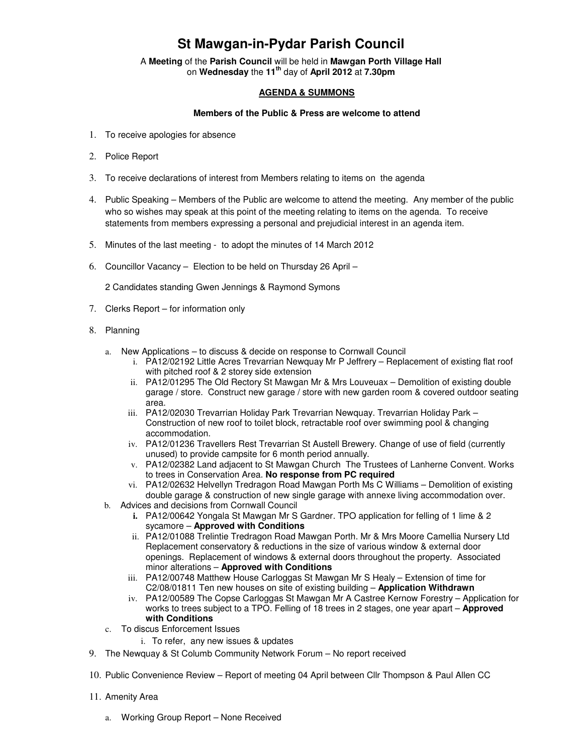## **St Mawgan-in-Pydar Parish Council**

A **Meeting** of the **Parish Council** will be held in **Mawgan Porth Village Hall** on **Wednesday** the **11th** day of **April 2012** at **7.30pm** 

## **AGENDA & SUMMONS**

## **Members of the Public & Press are welcome to attend**

- 1. To receive apologies for absence
- 2. Police Report
- 3. To receive declarations of interest from Members relating to items on the agenda
- 4. Public Speaking Members of the Public are welcome to attend the meeting. Any member of the public who so wishes may speak at this point of the meeting relating to items on the agenda. To receive statements from members expressing a personal and prejudicial interest in an agenda item.
- 5. Minutes of the last meeting to adopt the minutes of 14 March 2012
- 6. Councillor Vacancy Election to be held on Thursday 26 April –

2 Candidates standing Gwen Jennings & Raymond Symons

- 7. Clerks Report for information only
- 8. Planning
	- a. New Applications to discuss & decide on response to Cornwall Council
		- i. PA12/02192 Little Acres Trevarrian Newquay Mr P Jeffrery Replacement of existing flat roof with pitched roof & 2 storey side extension
		- ii. PA12/01295 The Old Rectory St Mawgan Mr & Mrs Louveuax Demolition of existing double garage / store. Construct new garage / store with new garden room & covered outdoor seating area.
		- iii. PA12/02030 Trevarrian Holiday Park Trevarrian Newquay. Trevarrian Holiday Park Construction of new roof to toilet block, retractable roof over swimming pool & changing accommodation.
		- iv. PA12/01236 Travellers Rest Trevarrian St Austell Brewery. Change of use of field (currently unused) to provide campsite for 6 month period annually.
		- v. PA12/02382 Land adjacent to St Mawgan Church The Trustees of Lanherne Convent. Works to trees in Conservation Area. **No response from PC required**
		- vi. PA12/02632 Helvellyn Tredragon Road Mawgan Porth Ms C Williams Demolition of existing double garage & construction of new single garage with annexe living accommodation over.
	- b. Advices and decisions from Cornwall Council
		- **i.** PA12/00642 Yongala St Mawgan Mr S Gardner. TPO application for felling of 1 lime & 2 sycamore – **Approved with Conditions**
		- ii. PA12/01088 Trelintie Tredragon Road Mawgan Porth. Mr & Mrs Moore Camellia Nursery Ltd Replacement conservatory & reductions in the size of various window & external door openings. Replacement of windows & external doors throughout the property. Associated minor alterations – **Approved with Conditions**
		- iii. PA12/00748 Matthew House Carloggas St Mawgan Mr S Healy Extension of time for C2/08/01811 Ten new houses on site of existing building – **Application Withdrawn**
		- iv. PA12/00589 The Copse Carloggas St Mawgan Mr A Castree Kernow Forestry Application for works to trees subject to a TPO. Felling of 18 trees in 2 stages, one year apart – **Approved with Conditions**
	- c. To discus Enforcement Issues
		- i. To refer, any new issues & updates
- 9. The Newquay & St Columb Community Network Forum No report received
- 10. Public Convenience Review Report of meeting 04 April between Cllr Thompson & Paul Allen CC
- 11. Amenity Area
	- a. Working Group Report None Received